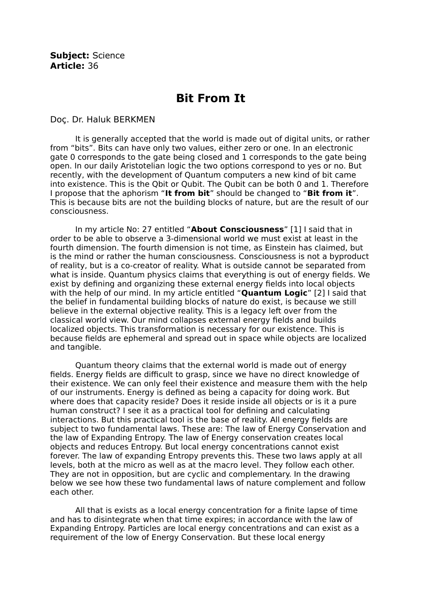## **Bit From It**

Doç. Dr. Haluk BERKMEN

It is generally accepted that the world is made out of digital units, or rather from "bits". Bits can have only two values, either zero or one. In an electronic gate 0 corresponds to the gate being closed and 1 corresponds to the gate being open. In our daily Aristotelian logic the two options correspond to yes or no. But recently, with the development of Quantum computers a new kind of bit came into existence. This is the Qbit or Qubit. The Qubit can be both 0 and 1. Therefore I propose that the aphorism "**It from bit**" should be changed to "**Bit from it**". This is because bits are not the building blocks of nature, but are the result of our consciousness.

In my article No: 27 entitled "**About Consciousness**" [1] I said that in order to be able to observe a 3-dimensional world we must exist at least in the fourth dimension. The fourth dimension is not time, as Einstein has claimed, but is the mind or rather the human consciousness. Consciousness is not a byproduct of reality, but is a co-creator of reality. What is outside cannot be separated from what is inside. Quantum physics claims that everything is out of energy fields. We exist by defining and organizing these external energy fields into local objects with the help of our mind. In my article entitled "**Quantum Logic**" [2] I said that the belief in fundamental building blocks of nature do exist, is because we still believe in the external objective reality. This is a legacy left over from the classical world view. Our mind collapses external energy fields and builds localized objects. This transformation is necessary for our existence. This is because fields are ephemeral and spread out in space while objects are localized and tangible.

Quantum theory claims that the external world is made out of energy fields. Energy fields are difficult to grasp, since we have no direct knowledge of their existence. We can only feel their existence and measure them with the help of our instruments. Energy is defined as being a capacity for doing work. But where does that capacity reside? Does it reside inside all objects or is it a pure human construct? I see it as a practical tool for defining and calculating interactions. But this practical tool is the base of reality. All energy fields are subject to two fundamental laws. These are: The law of Energy Conservation and the law of Expanding Entropy. The law of Energy conservation creates local objects and reduces Entropy. But local energy concentrations cannot exist forever. The law of expanding Entropy prevents this. These two laws apply at all levels, both at the micro as well as at the macro level. They follow each other. They are not in opposition, but are cyclic and complementary. In the drawing below we see how these two fundamental laws of nature complement and follow each other.

All that is exists as a local energy concentration for a finite lapse of time and has to disintegrate when that time expires; in accordance with the law of Expanding Entropy. Particles are local energy concentrations and can exist as a requirement of the low of Energy Conservation. But these local energy